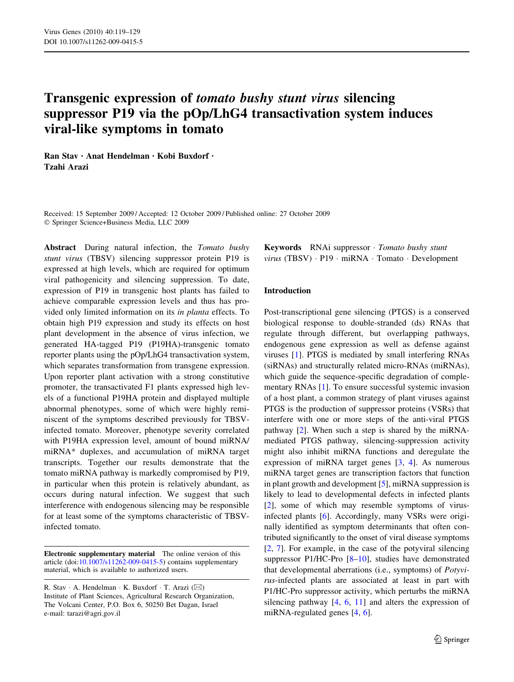# Transgenic expression of tomato bushy stunt virus silencing suppressor P19 via the pOp/LhG4 transactivation system induces viral-like symptoms in tomato

Ran Stav • Anat Hendelman • Kobi Buxdorf • Tzahi Arazi

Received: 15 September 2009 / Accepted: 12 October 2009 / Published online: 27 October 2009 Springer Science+Business Media, LLC 2009

Abstract During natural infection, the Tomato bushy stunt virus (TBSV) silencing suppressor protein P19 is expressed at high levels, which are required for optimum viral pathogenicity and silencing suppression. To date, expression of P19 in transgenic host plants has failed to achieve comparable expression levels and thus has provided only limited information on its in planta effects. To obtain high P19 expression and study its effects on host plant development in the absence of virus infection, we generated HA-tagged P19 (P19HA)-transgenic tomato reporter plants using the pOp/LhG4 transactivation system, which separates transformation from transgene expression. Upon reporter plant activation with a strong constitutive promoter, the transactivated F1 plants expressed high levels of a functional P19HA protein and displayed multiple abnormal phenotypes, some of which were highly reminiscent of the symptoms described previously for TBSVinfected tomato. Moreover, phenotype severity correlated with P19HA expression level, amount of bound miRNA/ miRNA\* duplexes, and accumulation of miRNA target transcripts. Together our results demonstrate that the tomato miRNA pathway is markedly compromised by P19, in particular when this protein is relatively abundant, as occurs during natural infection. We suggest that such interference with endogenous silencing may be responsible for at least some of the symptoms characteristic of TBSVinfected tomato.

Electronic supplementary material The online version of this article (doi:[10.1007/s11262-009-0415-5\)](http://dx.doi.org/10.1007/s11262-009-0415-5) contains supplementary material, which is available to authorized users.

Keywords RNAi suppressor · Tomato bushy stunt virus (TBSV) · P19 · miRNA · Tomato · Development

## Introduction

Post-transcriptional gene silencing (PTGS) is a conserved biological response to double-stranded (ds) RNAs that regulate through different, but overlapping pathways, endogenous gene expression as well as defense against viruses [\[1](#page-9-0)]. PTGS is mediated by small interfering RNAs (siRNAs) and structurally related micro-RNAs (miRNAs), which guide the sequence-specific degradation of complementary RNAs [[1\]](#page-9-0). To ensure successful systemic invasion of a host plant, a common strategy of plant viruses against PTGS is the production of suppressor proteins (VSRs) that interfere with one or more steps of the anti-viral PTGS pathway [\[2](#page-9-0)]. When such a step is shared by the miRNAmediated PTGS pathway, silencing-suppression activity might also inhibit miRNA functions and deregulate the expression of miRNA target genes [\[3](#page-9-0), [4\]](#page-9-0). As numerous miRNA target genes are transcription factors that function in plant growth and development [\[5\]](#page-9-0), miRNA suppression is likely to lead to developmental defects in infected plants [\[2](#page-9-0)], some of which may resemble symptoms of virusinfected plants [[6\]](#page-9-0). Accordingly, many VSRs were originally identified as symptom determinants that often contributed significantly to the onset of viral disease symptoms [\[2](#page-9-0), [7\]](#page-9-0). For example, in the case of the potyviral silencing suppressor P1/HC-Pro [[8–10\]](#page-9-0), studies have demonstrated that developmental aberrations (i.e., symptoms) of Potyvirus-infected plants are associated at least in part with P1/HC-Pro suppressor activity, which perturbs the miRNA silencing pathway  $[4, 6, 11]$  $[4, 6, 11]$  $[4, 6, 11]$  $[4, 6, 11]$  $[4, 6, 11]$  $[4, 6, 11]$  and alters the expression of miRNA-regulated genes [\[4](#page-9-0), [6\]](#page-9-0).

R. Stav · A. Hendelman · K. Buxdorf · T. Arazi  $(\boxtimes)$ Institute of Plant Sciences, Agricultural Research Organization, The Volcani Center, P.O. Box 6, 50250 Bet Dagan, Israel e-mail: tarazi@agri.gov.il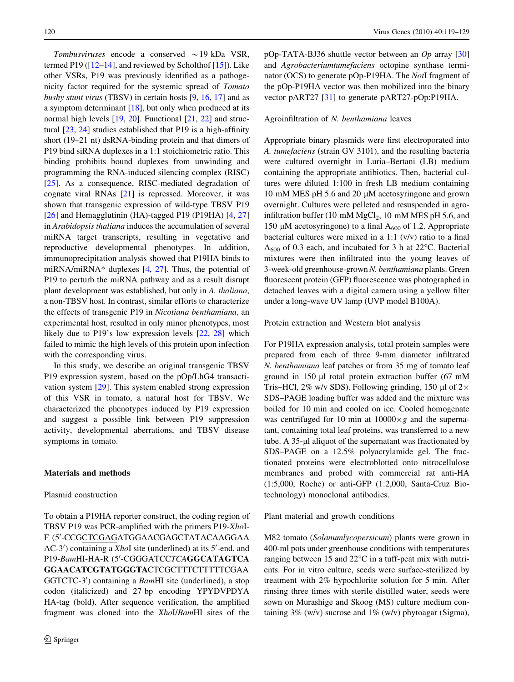Tombusviruses encode a conserved  $\sim$  19 kDa VSR, termed P19 ( $[12-14]$ , and reviewed by Scholthof  $[15]$  $[15]$ ). Like other VSRs, P19 was previously identified as a pathogenicity factor required for the systemic spread of Tomato bushy stunt virus (TBSV) in certain hosts [[9,](#page-9-0) [16,](#page-9-0) [17\]](#page-9-0) and as a symptom determinant  $[18]$  $[18]$ , but only when produced at its normal high levels [\[19](#page-9-0), [20\]](#page-9-0). Functional [[21,](#page-9-0) [22](#page-9-0)] and structural [[23,](#page-9-0) [24](#page-9-0)] studies established that P19 is a high-affinity short (19–21 nt) dsRNA-binding protein and that dimers of P19 bind siRNA duplexes in a 1:1 stoichiometric ratio. This binding prohibits bound duplexes from unwinding and programming the RNA-induced silencing complex (RISC) [\[25](#page-9-0)]. As a consequence, RISC-mediated degradation of cognate viral RNAs [[21\]](#page-9-0) is repressed. Moreover, it was shown that transgenic expression of wild-type TBSV P19  $[26]$  $[26]$  and Hemagglutinin (HA)-tagged P19 (P19HA)  $[4, 27]$  $[4, 27]$  $[4, 27]$ in Arabidopsis thaliana induces the accumulation of several miRNA target transcripts, resulting in vegetative and reproductive developmental phenotypes. In addition, immunoprecipitation analysis showed that P19HA binds to miRNA/miRNA\* duplexes  $[4, 27]$  $[4, 27]$  $[4, 27]$  $[4, 27]$ . Thus, the potential of P19 to perturb the miRNA pathway and as a result disrupt plant development was established, but only in A. thaliana, a non-TBSV host. In contrast, similar efforts to characterize the effects of transgenic P19 in Nicotiana benthamiana, an experimental host, resulted in only minor phenotypes, most likely due to P19's low expression levels [[22,](#page-9-0) [28](#page-9-0)] which failed to mimic the high levels of this protein upon infection with the corresponding virus.

In this study, we describe an original transgenic TBSV P19 expression system, based on the pOp/LhG4 transactivation system [\[29](#page-9-0)]. This system enabled strong expression of this VSR in tomato, a natural host for TBSV. We characterized the phenotypes induced by P19 expression and suggest a possible link between P19 suppression activity, developmental aberrations, and TBSV disease symptoms in tomato.

#### Materials and methods

## Plasmid construction

To obtain a P19HA reporter construct, the coding region of TBSV P19 was PCR-amplified with the primers P19-XhoI-F (5'-CCGCTCGAGATGGAACGAGCTATACAAGGAA AC-3') containing a XhoI site (underlined) at its 5'-end, and P19-BamHI-HA-R (5'-CGGGATCCTCAGGCATAGTCA GGAACATCGTATGGGTACTCGCTTTCTTTTTCGAA GGTCTC-3') containing a BamHI site (underlined), a stop codon (italicized) and 27 bp encoding YPYDVPDYA HA-tag (bold). After sequence verification, the amplified fragment was cloned into the XhoI/BamHI sites of the pOp-TATA-BJ36 shuttle vector between an  $Op$  array [[30\]](#page-9-0) and Agrobacteriumtumefaciens octopine synthase terminator (OCS) to generate pOp-P19HA. The NotI fragment of the pOp-P19HA vector was then mobilized into the binary vector pART27 [\[31](#page-9-0)] to generate pART27-pOp:P19HA.

#### Agroinfiltration of N. benthamiana leaves

Appropriate binary plasmids were first electroporated into A. tumefaciens (strain GV 3101), and the resulting bacteria were cultured overnight in Luria–Bertani (LB) medium containing the appropriate antibiotics. Then, bacterial cultures were diluted 1:100 in fresh LB medium containing 10 mM MES pH 5.6 and 20  $\mu$ M acetosyringone and grown overnight. Cultures were pelleted and resuspended in agroinfiltration buffer (10 mM  $MgCl<sub>2</sub>$ , 10 mM MES pH 5.6, and 150  $\mu$ M acetosyringone) to a final A<sub>600</sub> of 1.2. Appropriate bacterial cultures were mixed in a 1:1 (v/v) ratio to a final  $A_{600}$  of 0.3 each, and incubated for 3 h at 22 $^{\circ}$ C. Bacterial mixtures were then infiltrated into the young leaves of 3-week-old greenhouse-grown N. benthamiana plants. Green fluorescent protein (GFP) fluorescence was photographed in detached leaves with a digital camera using a yellow filter under a long-wave UV lamp (UVP model B100A).

Protein extraction and Western blot analysis

For P19HA expression analysis, total protein samples were prepared from each of three 9-mm diameter infiltrated N. benthamiana leaf patches or from 35 mg of tomato leaf ground in 150  $\mu$ l total protein extraction buffer (67 mM Tris–HCl, 2% w/v SDS). Following grinding, 150  $\mu$ l of 2 $\times$ SDS–PAGE loading buffer was added and the mixture was boiled for 10 min and cooled on ice. Cooled homogenate was centrifuged for 10 min at  $10000 \times g$  and the supernatant, containing total leaf proteins, was transferred to a new tube. A 35-µl aliquot of the supernatant was fractionated by SDS–PAGE on a 12.5% polyacrylamide gel. The fractionated proteins were electroblotted onto nitrocellulose membranes and probed with commercial rat anti-HA (1:5,000, Roche) or anti-GFP (1:2,000, Santa-Cruz Biotechnology) monoclonal antibodies.

Plant material and growth conditions

M82 tomato (Solanumlycopersicum) plants were grown in 400-ml pots under greenhouse conditions with temperatures ranging between  $15$  and  $22^{\circ}$ C in a tuff-peat mix with nutrients. For in vitro culture, seeds were surface-sterilized by treatment with 2% hypochlorite solution for 5 min. After rinsing three times with sterile distilled water, seeds were sown on Murashige and Skoog (MS) culture medium containing  $3\%$  (w/v) sucrose and  $1\%$  (w/v) phytoagar (Sigma),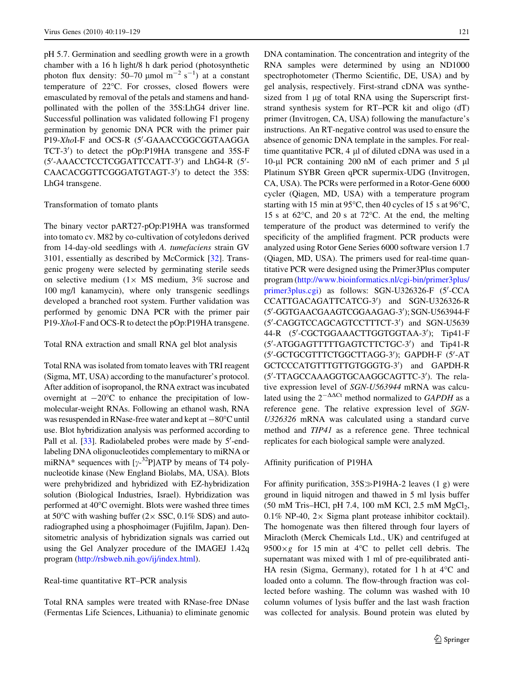pH 5.7. Germination and seedling growth were in a growth chamber with a 16 h light/8 h dark period (photosynthetic photon flux density: 50–70 µmol  $m^{-2}$  s<sup>-1</sup>) at a constant temperature of 22°C. For crosses, closed flowers were emasculated by removal of the petals and stamens and handpollinated with the pollen of the 35S:LhG4 driver line. Successful pollination was validated following F1 progeny germination by genomic DNA PCR with the primer pair P19-XhoI-F and OCS-R (5'-GAAACCGGCGGTAAGGA TCT-3') to detect the pOp:P19HA transgene and 35S-F (5'-AAACCTCCTCGGATTCCATT-3') and LhG4-R (5'-CAACACGGTTCGGGATGTAGT-3') to detect the 35S: LhG4 transgene.

#### Transformation of tomato plants

The binary vector pART27-pOp:P19HA was transformed into tomato cv. M82 by co-cultivation of cotyledons derived from 14-day-old seedlings with A. tumefaciens strain GV 3101, essentially as described by McCormick [[32\]](#page-10-0). Transgenic progeny were selected by germinating sterile seeds on selective medium  $(1 \times MS \text{ medium}, 3\% \text{ sucrose} \text{ and }$ 100 mg/l kanamycin), where only transgenic seedlings developed a branched root system. Further validation was performed by genomic DNA PCR with the primer pair P19-XhoI-F and OCS-R to detect the pOp:P19HA transgene.

#### Total RNA extraction and small RNA gel blot analysis

Total RNA was isolated from tomato leaves with TRI reagent (Sigma, MT, USA) according to the manufacturer's protocol. After addition of isopropanol, the RNA extract was incubated overnight at  $-20^{\circ}$ C to enhance the precipitation of lowmolecular-weight RNAs. Following an ethanol wash, RNA was resuspended in RNase-free water and kept at  $-80^{\circ}$ C until use. Blot hybridization analysis was performed according to Pall et al. [[33](#page-10-0)]. Radiolabeled probes were made by 5'-endlabeling DNA oligonucleotides complementary to miRNA or miRNA\* sequences with  $[\gamma^{-32}P]$ ATP by means of T4 polynucleotide kinase (New England Biolabs, MA, USA). Blots were prehybridized and hybridized with EZ-hybridization solution (Biological Industries, Israel). Hybridization was performed at 40°C overnight. Blots were washed three times at 50°C with washing buffer  $(2 \times SSC, 0.1\% SDS)$  and autoradiographed using a phosphoimager (Fujifilm, Japan). Densitometric analysis of hybridization signals was carried out using the Gel Analyzer procedure of the IMAGEJ 1.42q program [\(http://rsbweb.nih.gov/ij/index.html](http://rsbweb.nih.gov/ij/index.html)).

## Real-time quantitative RT–PCR analysis

Total RNA samples were treated with RNase-free DNase (Fermentas Life Sciences, Lithuania) to eliminate genomic DNA contamination. The concentration and integrity of the RNA samples were determined by using an ND1000 spectrophotometer (Thermo Scientific, DE, USA) and by gel analysis, respectively. First-strand cDNA was synthesized from 1 µg of total RNA using the Superscript firststrand synthesis system for RT–PCR kit and oligo (dT) primer (Invitrogen, CA, USA) following the manufacture's instructions. An RT-negative control was used to ensure the absence of genomic DNA template in the samples. For realtime quantitative PCR, 4 µl of diluted cDNA was used in a 10-µl PCR containing 200 nM of each primer and  $5 \mu$ l Platinum SYBR Green qPCR supermix-UDG (Invitrogen, CA, USA). The PCRs were performed in a Rotor-Gene 6000 cycler (Qiagen, MD, USA) with a temperature program starting with 15 min at 95 $\degree$ C, then 40 cycles of 15 s at 96 $\degree$ C, 15 s at  $62^{\circ}$ C, and 20 s at 72 $^{\circ}$ C. At the end, the melting temperature of the product was determined to verify the specificity of the amplified fragment. PCR products were analyzed using Rotor Gene Series 6000 software version 1.7 (Qiagen, MD, USA). The primers used for real-time quantitative PCR were designed using the Primer3Plus computer program ([http://www.bioinformatics.nl/cgi-bin/primer3plus/](http://www.bioinformatics.nl/cgi-bin/primer3plus/primer3plus.cgi) [primer3plus.cgi](http://www.bioinformatics.nl/cgi-bin/primer3plus/primer3plus.cgi)) as follows: SGN-U326326-F (5'-CCA CCATTGACAGATTCATCG-3') and SGN-U326326-R (5'-GGTGAACGAAGTCGGAAGAG-3'); SGN-U563944-F (5'-CAGGTCCAGCAGTCCTTTCT-3') and SGN-U5639 44-R (5'-CGCTGGAAACTTGGTGGTAA-3'); Tip41-F (5'-ATGGAGTTTTTGAGTCTTCTGC-3') and Tip41-R (5'-GCTGCGTTTCTGGCTTAGG-3'); GAPDH-F (5'-AT GCTCCCATGTTTGTTGTGGGTG-3') and GAPDH-R (5'-TTAGCCAAAGGTGCAAGGCAGTTC-3'). The relative expression level of SGN-U563944 mRNA was calculated using the  $2^{-\Delta\Delta Ct}$  method normalized to GAPDH as a reference gene. The relative expression level of SGN-U326326 mRNA was calculated using a standard curve method and TIP41 as a reference gene. Three technical replicates for each biological sample were analyzed.

#### Affinity purification of P19HA

For affinity purification,  $35S\gg P19HA-2$  leaves (1 g) were ground in liquid nitrogen and thawed in 5 ml lysis buffer  $(50 \text{ mM Tris-HCl, pH } 7.4, 100 \text{ mM KCl, } 2.5 \text{ mM MgCl}_2,$ 0.1% NP-40,  $2 \times$  Sigma plant protease inhibitor cocktail). The homogenate was then filtered through four layers of Miracloth (Merck Chemicals Ltd., UK) and centrifuged at  $9500 \times g$  for 15 min at 4°C to pellet cell debris. The supernatant was mixed with 1 ml of pre-equilibrated anti-HA resin (Sigma, Germany), rotated for 1 h at  $4^{\circ}$ C and loaded onto a column. The flow-through fraction was collected before washing. The column was washed with 10 column volumes of lysis buffer and the last wash fraction was collected for analysis. Bound protein was eluted by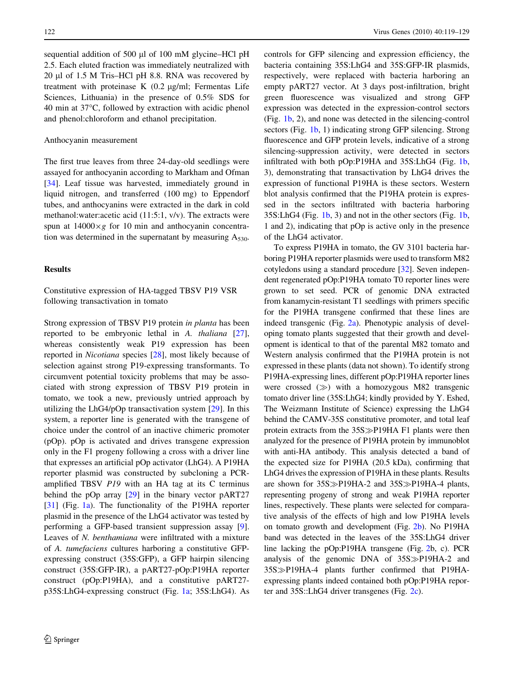sequential addition of 500 ul of 100 mM glycine–HCl pH 2.5. Each eluted fraction was immediately neutralized with 20 ll of 1.5 M Tris–HCl pH 8.8. RNA was recovered by treatment with proteinase K  $(0.2 \text{ µg/ml}; \text{Fermentas Life})$ Sciences, Lithuania) in the presence of 0.5% SDS for 40 min at 37°C, followed by extraction with acidic phenol and phenol:chloroform and ethanol precipitation.

#### Anthocyanin measurement

The first true leaves from three 24-day-old seedlings were assayed for anthocyanin according to Markham and Ofman [\[34](#page-10-0)]. Leaf tissue was harvested, immediately ground in liquid nitrogen, and transferred (100 mg) to Eppendorf tubes, and anthocyanins were extracted in the dark in cold methanol:water:acetic acid (11:5:1, v/v). The extracts were spun at  $14000 \times g$  for 10 min and anthocyanin concentration was determined in the supernatant by measuring  $A_{530}$ .

## Results

Constitutive expression of HA-tagged TBSV P19 VSR following transactivation in tomato

Strong expression of TBSV P19 protein in planta has been reported to be embryonic lethal in A. thaliana [\[27](#page-9-0)], whereas consistently weak P19 expression has been reported in Nicotiana species [\[28](#page-9-0)], most likely because of selection against strong P19-expressing transformants. To circumvent potential toxicity problems that may be associated with strong expression of TBSV P19 protein in tomato, we took a new, previously untried approach by utilizing the LhG4/pOp transactivation system [[29\]](#page-9-0). In this system, a reporter line is generated with the transgene of choice under the control of an inactive chimeric promoter (pOp). pOp is activated and drives transgene expression only in the F1 progeny following a cross with a driver line that expresses an artificial pOp activator (LhG4). A P19HA reporter plasmid was constructed by subcloning a PCRamplified TBSV P19 with an HA tag at its C terminus behind the pOp array [[29\]](#page-9-0) in the binary vector pART27 [\[31](#page-9-0)] (Fig. [1a](#page-4-0)). The functionality of the P19HA reporter plasmid in the presence of the LhG4 activator was tested by performing a GFP-based transient suppression assay [\[9](#page-9-0)]. Leaves of N. benthamiana were infiltrated with a mixture of A. tumefaciens cultures harboring a constitutive GFPexpressing construct (35S:GFP), a GFP hairpin silencing construct (35S:GFP-IR), a pART27-pOp:P19HA reporter construct (pOp:P19HA), and a constitutive pART27 p35S:LhG4-expressing construct (Fig. [1a](#page-4-0); 35S:LhG4). As controls for GFP silencing and expression efficiency, the bacteria containing 35S:LhG4 and 35S:GFP-IR plasmids, respectively, were replaced with bacteria harboring an empty pART27 vector. At 3 days post-infiltration, bright green fluorescence was visualized and strong GFP expression was detected in the expression-control sectors (Fig. [1b,](#page-4-0) 2), and none was detected in the silencing-control sectors (Fig. [1b,](#page-4-0) 1) indicating strong GFP silencing. Strong fluorescence and GFP protein levels, indicative of a strong silencing-suppression activity, were detected in sectors infiltrated with both pOp:P19HA and 35S:LhG4 (Fig. [1b,](#page-4-0) 3), demonstrating that transactivation by LhG4 drives the expression of functional P19HA is these sectors. Western blot analysis confirmed that the P19HA protein is expressed in the sectors infiltrated with bacteria harboring 35S:LhG4 (Fig. [1b,](#page-4-0) 3) and not in the other sectors (Fig. [1b,](#page-4-0) 1 and 2), indicating that pOp is active only in the presence of the LhG4 activator.

To express P19HA in tomato, the GV 3101 bacteria harboring P19HA reporter plasmids were used to transform M82 cotyledons using a standard procedure [[32](#page-10-0)]. Seven independent regenerated pOp:P19HA tomato T0 reporter lines were grown to set seed. PCR of genomic DNA extracted from kanamycin-resistant T1 seedlings with primers specific for the P19HA transgene confirmed that these lines are indeed transgenic (Fig. [2a\)](#page-5-0). Phenotypic analysis of developing tomato plants suggested that their growth and development is identical to that of the parental M82 tomato and Western analysis confirmed that the P19HA protein is not expressed in these plants (data not shown). To identify strong P19HA-expressing lines, different pOp:P19HA reporter lines were crossed  $(\gg)$  with a homozygous M82 transgenic tomato driver line (35S:LhG4; kindly provided by Y. Eshed, The Weizmann Institute of Science) expressing the LhG4 behind the CAMV-35S constitutive promoter, and total leaf protein extracts from the  $35S\gg P19HA F1$  plants were then analyzed for the presence of P19HA protein by immunoblot with anti-HA antibody. This analysis detected a band of the expected size for P19HA (20.5 kDa), confirming that LhG4 drives the expression of P19HA in these plants. Results are shown for  $35S\gg P19HA-2$  and  $35S\gg P19HA-4$  plants, representing progeny of strong and weak P19HA reporter lines, respectively. These plants were selected for comparative analysis of the effects of high and low P19HA levels on tomato growth and development (Fig. [2b\)](#page-5-0). No P19HA band was detected in the leaves of the 35S:LhG4 driver line lacking the pOp:P19HA transgene (Fig. [2b](#page-5-0), c). PCR analysis of the genomic DNA of  $35S\gg P19HA-2$  and 35S-P19HA-4 plants further confirmed that P19HAexpressing plants indeed contained both pOp:P19HA reporter and 35S::LhG4 driver transgenes (Fig. [2c\)](#page-5-0).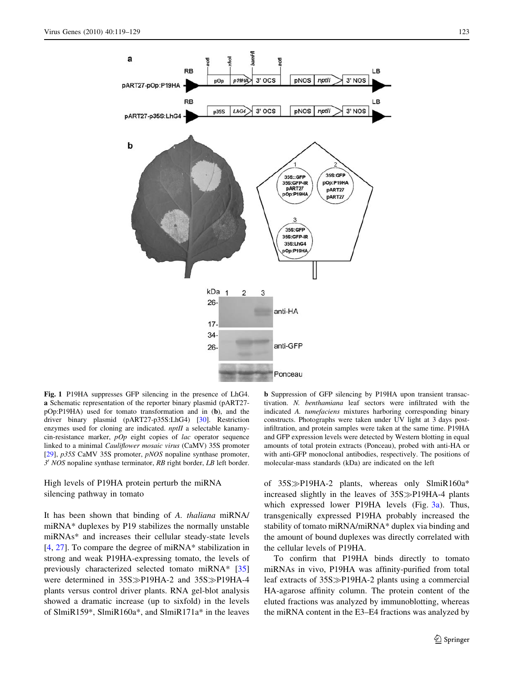<span id="page-4-0"></span>

Fig. 1 P19HA suppresses GFP silencing in the presence of LhG4. a Schematic representation of the reporter binary plasmid (pART27 pOp:P19HA) used for tomato transformation and in (b), and the driver binary plasmid (pART27-p35S:LhG4) [[30](#page-9-0)]. Restriction enzymes used for cloning are indicated. nptII a selectable kanamycin-resistance marker,  $pOp$  eight copies of lac operator sequence linked to a minimal Cauliflower mosaic virus (CaMV) 35S promoter [[29](#page-9-0)], *p35S* CaMV 35S promoter, *pNOS* nopaline synthase promoter,  $3'$  NOS nopaline synthase terminator, RB right border, LB left border.

## High levels of P19HA protein perturb the miRNA silencing pathway in tomato

It has been shown that binding of A. thaliana miRNA/ miRNA\* duplexes by P19 stabilizes the normally unstable miRNAs\* and increases their cellular steady-state levels [\[4](#page-9-0), [27\]](#page-9-0). To compare the degree of miRNA\* stabilization in strong and weak P19HA-expressing tomato, the levels of previously characterized selected tomato miRNA\* [[35\]](#page-10-0) were determined in 35S > P19HA-2 and 35S > P19HA-4 plants versus control driver plants. RNA gel-blot analysis showed a dramatic increase (up to sixfold) in the levels of SlmiR159\*, SlmiR160a\*, and SlmiR171a\* in the leaves

b Suppression of GFP silencing by P19HA upon transient transactivation. N. benthamiana leaf sectors were infiltrated with the indicated A. tumefaciens mixtures harboring corresponding binary constructs. Photographs were taken under UV light at 3 days postinfiltration, and protein samples were taken at the same time. P19HA and GFP expression levels were detected by Western blotting in equal amounts of total protein extracts (Ponceau), probed with anti-HA or with anti-GFP monoclonal antibodies, respectively. The positions of molecular-mass standards (kDa) are indicated on the left

of 35S $\gg$ P19HA-2 plants, whereas only SlmiR160a\* increased slightly in the leaves of 35S > P19HA-4 plants which expressed lower P19HA levels (Fig. [3a\)](#page-6-0). Thus, transgenically expressed P19HA probably increased the stability of tomato miRNA/miRNA\* duplex via binding and the amount of bound duplexes was directly correlated with the cellular levels of P19HA.

To confirm that P19HA binds directly to tomato miRNAs in vivo, P19HA was affinity-purified from total leaf extracts of  $35S\gg P19HA-2$  plants using a commercial HA-agarose affinity column. The protein content of the eluted fractions was analyzed by immunoblotting, whereas the miRNA content in the E3–E4 fractions was analyzed by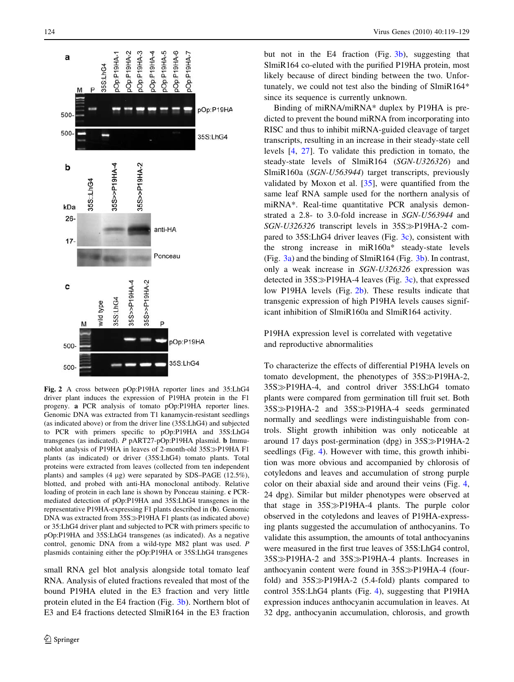<span id="page-5-0"></span>

Fig. 2 A cross between pOp:P19HA reporter lines and 35:LhG4 driver plant induces the expression of P19HA protein in the F1 progeny. a PCR analysis of tomato pOp:P19HA reporter lines. Genomic DNA was extracted from T1 kanamycin-resistant seedlings (as indicated above) or from the driver line (35S:LhG4) and subjected to PCR with primers specific to pOp:P19HA and 35S:LhG4 transgenes (as indicated). P pART27-pOp:P19HA plasmid. b Immunoblot analysis of P19HA in leaves of 2-month-old 35S > P19HA F1 plants (as indicated) or driver (35S:LhG4) tomato plants. Total proteins were extracted from leaves (collected from ten independent plants) and samples (4  $\mu$ g) were separated by SDS–PAGE (12.5%), blotted, and probed with anti-HA monoclonal antibody. Relative loading of protein in each lane is shown by Ponceau staining. c PCRmediated detection of pOp:P19HA and 35S:LhG4 transgenes in the representative P19HA-expressing F1 plants described in (b). Genomic DNA was extracted from  $35S\gg P19HA F1$  plants (as indicated above) or 35:LhG4 driver plant and subjected to PCR with primers specific to pOp:P19HA and 35S:LhG4 transgenes (as indicated). As a negative control, genomic DNA from a wild-type M82 plant was used. P plasmids containing either the pOp:P19HA or 35S:LhG4 transgenes

small RNA gel blot analysis alongside total tomato leaf RNA. Analysis of eluted fractions revealed that most of the bound P19HA eluted in the E3 fraction and very little protein eluted in the E4 fraction (Fig. [3b](#page-6-0)). Northern blot of E3 and E4 fractions detected SlmiR164 in the E3 fraction but not in the E4 fraction (Fig. [3b](#page-6-0)), suggesting that SlmiR164 co-eluted with the purified P19HA protein, most likely because of direct binding between the two. Unfortunately, we could not test also the binding of SlmiR164\* since its sequence is currently unknown.

Binding of miRNA/miRNA\* duplex by P19HA is predicted to prevent the bound miRNA from incorporating into RISC and thus to inhibit miRNA-guided cleavage of target transcripts, resulting in an increase in their steady-state cell levels [\[4](#page-9-0), [27](#page-9-0)]. To validate this prediction in tomato, the steady-state levels of SlmiR164 (SGN-U326326) and SlmiR160a (SGN-U563944) target transcripts, previously validated by Moxon et al. [[35\]](#page-10-0), were quantified from the same leaf RNA sample used for the northern analysis of miRNA\*. Real-time quantitative PCR analysis demonstrated a 2.8- to 3.0-fold increase in SGN-U563944 and SGN-U326326 transcript levels in 35S > P19HA-2 compared to 35S:LhG4 driver leaves (Fig. [3c](#page-6-0)), consistent with the strong increase in miR160a\* steady-state levels (Fig. [3a\)](#page-6-0) and the binding of SlmiR164 (Fig. [3b\)](#page-6-0). In contrast, only a weak increase in SGN-U326326 expression was detected in  $35S\gg P19HA-4$  leaves (Fig. [3c\)](#page-6-0), that expressed low P19HA levels (Fig. 2b). These results indicate that transgenic expression of high P19HA levels causes significant inhibition of SlmiR160a and SlmiR164 activity.

P19HA expression level is correlated with vegetative and reproductive abnormalities

To characterize the effects of differential P19HA levels on tomato development, the phenotypes of  $35S\gg P19HA-2$ , 35S-P19HA-4, and control driver 35S:LhG4 tomato plants were compared from germination till fruit set. Both 35S-P19HA-2 and 35S-P19HA-4 seeds germinated normally and seedlings were indistinguishable from controls. Slight growth inhibition was only noticeable at around 17 days post-germination (dpg) in 35S > P19HA-2 seedlings (Fig. [4](#page-7-0)). However with time, this growth inhibition was more obvious and accompanied by chlorosis of cotyledons and leaves and accumulation of strong purple color on their abaxial side and around their veins (Fig. [4,](#page-7-0) 24 dpg). Similar but milder phenotypes were observed at that stage in 35S > P19HA-4 plants. The purple color observed in the cotyledons and leaves of P19HA-expressing plants suggested the accumulation of anthocyanins. To validate this assumption, the amounts of total anthocyanins were measured in the first true leaves of 35S:LhG4 control, 35S-P19HA-2 and 35S-P19HA-4 plants. Increases in anthocyanin content were found in 35S $\gg$ P19HA-4 (fourfold) and  $35S\gg P19HA-2$  (5.4-fold) plants compared to control 35S:LhG4 plants (Fig. [4](#page-7-0)), suggesting that P19HA expression induces anthocyanin accumulation in leaves. At 32 dpg, anthocyanin accumulation, chlorosis, and growth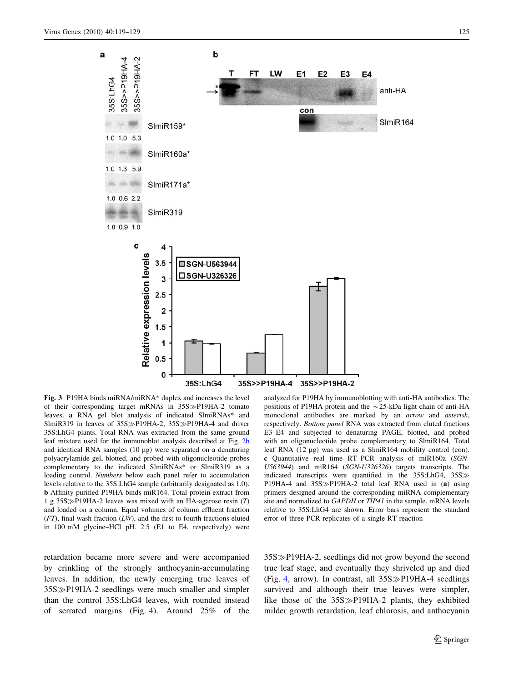<span id="page-6-0"></span>

Fig. 3 P19HA binds miRNA/miRNA\* duplex and increases the level of their corresponding target mRNAs in 35S $\gg$ P19HA-2 tomato leaves. a RNA gel blot analysis of indicated SlmiRNAs\* and SlmiR319 in leaves of  $35S\gg P19HA-2$ ,  $35S\gg P19HA-4$  and driver 35S:LhG4 plants. Total RNA was extracted from the same ground leaf mixture used for the immunoblot analysis described at Fig. [2b](#page-5-0) and identical RNA samples  $(10 \mu g)$  were separated on a denaturing polyacrylamide gel, blotted, and probed with oligonucleotide probes complementary to the indicated SlmiRNAs\* or SlmiR319 as a loading control. Numbers below each panel refer to accumulation levels relative to the 35S:LhG4 sample (arbitrarily designated as 1.0). b Affinity-purified P19HA binds miR164. Total protein extract from 1 g 35S $\gg$ P19HA-2 leaves was mixed with an HA-agarose resin (T) and loaded on a column. Equal volumes of column effluent fraction  $(FT)$ , final wash fraction  $(LW)$ , and the first to fourth fractions eluted in 100 mM glycine–HCl pH. 2.5 (E1 to E4, respectively) were

retardation became more severe and were accompanied by crinkling of the strongly anthocyanin-accumulating leaves. In addition, the newly emerging true leaves of 35S-P19HA-2 seedlings were much smaller and simpler than the control 35S:LhG4 leaves, with rounded instead of serrated margins (Fig. [4\)](#page-7-0). Around 25% of the

analyzed for P19HA by immunoblotting with anti-HA antibodies. The positions of P19HA protein and the  $\sim$ 25-kDa light chain of anti-HA monoclonal antibodies are marked by an arrow and asterisk, respectively. Bottom panel RNA was extracted from eluted fractions E3–E4 and subjected to denaturing PAGE, blotted, and probed with an oligonucleotide probe complementary to SlmiR164. Total leaf RNA  $(12 \mu g)$  was used as a SlmiR164 mobility control (con). c Quantitative real time RT–PCR analysis of miR160a (SGN-U563944) and miR164 (SGN-U326326) targets transcripts. The indicated transcripts were quantified in the  $35S: LhG4$ ,  $35S \gg$ P19HA-4 and  $35S\gg P19HA-2$  total leaf RNA used in (a) using primers designed around the corresponding miRNA complementary site and normalized to GAPDH or TIP41 in the sample. mRNA levels relative to 35S:LhG4 are shown. Error bars represent the standard error of three PCR replicates of a single RT reaction

35S-P19HA-2, seedlings did not grow beyond the second true leaf stage, and eventually they shriveled up and died (Fig. [4,](#page-7-0) arrow). In contrast, all  $35S\gg P19HA-4$  seedlings survived and although their true leaves were simpler, like those of the 35S > P19HA-2 plants, they exhibited milder growth retardation, leaf chlorosis, and anthocyanin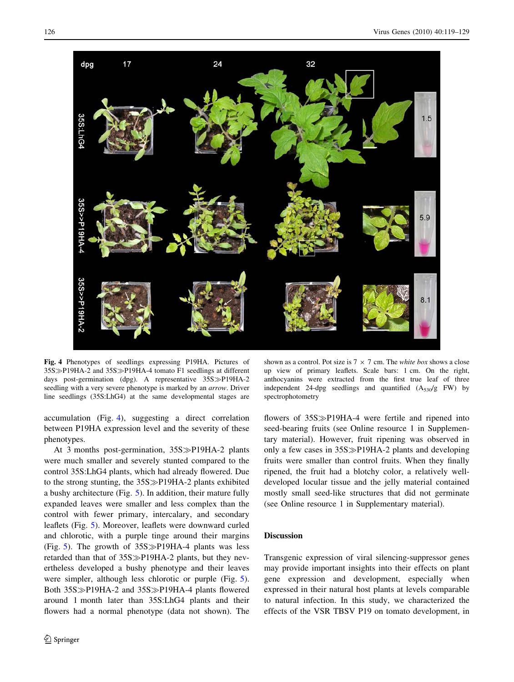<span id="page-7-0"></span>

Fig. 4 Phenotypes of seedlings expressing P19HA. Pictures of 35S > P19HA-2 and 35S > P19HA-4 tomato F1 seedlings at different days post-germination (dpg). A representative 35S $\gg$ P19HA-2 seedling with a very severe phenotype is marked by an arrow. Driver line seedlings (35S:LhG4) at the same developmental stages are

accumulation (Fig. 4), suggesting a direct correlation between P19HA expression level and the severity of these phenotypes.

At 3 months post-germination, 35S $\gg$ P19HA-2 plants were much smaller and severely stunted compared to the control 35S:LhG4 plants, which had already flowered. Due to the strong stunting, the 35S > P19HA-2 plants exhibited a bushy architecture (Fig. [5\)](#page-8-0). In addition, their mature fully expanded leaves were smaller and less complex than the control with fewer primary, intercalary, and secondary leaflets (Fig. [5](#page-8-0)). Moreover, leaflets were downward curled and chlorotic, with a purple tinge around their margins (Fig. [5](#page-8-0)). The growth of  $35S\gg P19HA-4$  plants was less retarded than that of  $35S\gg P19HA-2$  plants, but they nevertheless developed a bushy phenotype and their leaves were simpler, although less chlorotic or purple (Fig. [5](#page-8-0)). Both 35S > P19HA-2 and 35S > P19HA-4 plants flowered around 1 month later than 35S:LhG4 plants and their flowers had a normal phenotype (data not shown). The

shown as a control. Pot size is  $7 \times 7$  cm. The *white box* shows a close up view of primary leaflets. Scale bars: 1 cm. On the right, anthocyanins were extracted from the first true leaf of three independent 24-dpg seedlings and quantified  $(A_{530}/g$  FW) by spectrophotometry

flowers of 35S $\gg$ P19HA-4 were fertile and ripened into seed-bearing fruits (see Online resource 1 in Supplementary material). However, fruit ripening was observed in only a few cases in  $35S \gg P19HA-2$  plants and developing fruits were smaller than control fruits. When they finally ripened, the fruit had a blotchy color, a relatively welldeveloped locular tissue and the jelly material contained mostly small seed-like structures that did not germinate (see Online resource 1 in Supplementary material).

## Discussion

Transgenic expression of viral silencing-suppressor genes may provide important insights into their effects on plant gene expression and development, especially when expressed in their natural host plants at levels comparable to natural infection. In this study, we characterized the effects of the VSR TBSV P19 on tomato development, in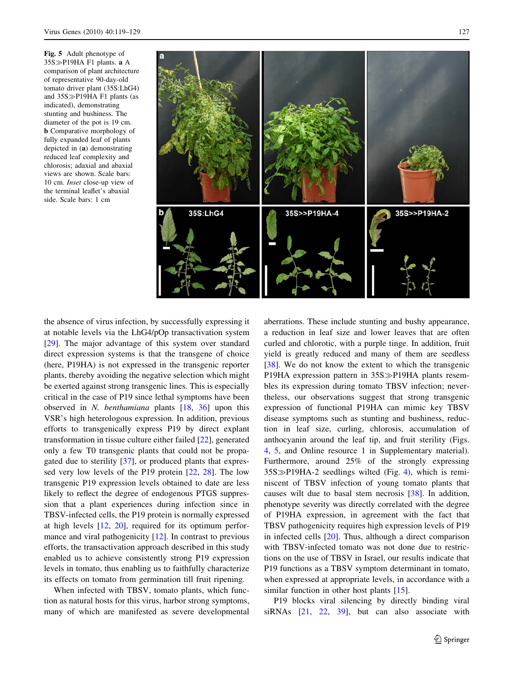<span id="page-8-0"></span>Fig. 5 Adult phenotype of  $35S\gg P19HA F1$  plants. **a** A comparison of plant architecture of representative 90-day-old tomato driver plant (35S:LhG4) and  $35S\gg P19HA F1$  plants (as indicated), demonstrating stunting and bushiness. The diameter of the pot is 19 cm. b Comparative morphology of fully expanded leaf of plants depicted in (a) demonstrating reduced leaf complexity and chlorosis; adaxial and abaxial views are shown. Scale bars: 10 cm. Inset close-up view of the terminal leaflet's abaxial side. Scale bars: 1 cm



the absence of virus infection, by successfully expressing it at notable levels via the LhG4/pOp transactivation system [\[29](#page-9-0)]. The major advantage of this system over standard direct expression systems is that the transgene of choice (here, P19HA) is not expressed in the transgenic reporter plants, thereby avoiding the negative selection which might be exerted against strong transgenic lines. This is especially critical in the case of P19 since lethal symptoms have been observed in N. benthamiana plants [[18,](#page-9-0) [36](#page-10-0)] upon this VSR's high heterologous expression. In addition, previous efforts to transgenically express P19 by direct explant transformation in tissue culture either failed [[22\]](#page-9-0), generated only a few T0 transgenic plants that could not be propagated due to sterility [[37\]](#page-10-0), or produced plants that expressed very low levels of the P19 protein [[22,](#page-9-0) [28](#page-9-0)]. The low transgenic P19 expression levels obtained to date are less likely to reflect the degree of endogenous PTGS suppression that a plant experiences during infection since in TBSV-infected cells, the P19 protein is normally expressed at high levels [\[12,](#page-9-0) [20\]](#page-9-0), required for its optimum perfor-mance and viral pathogenicity [[12\]](#page-9-0). In contrast to previous efforts, the transactivation approach described in this study enabled us to achieve consistently strong P19 expression levels in tomato, thus enabling us to faithfully characterize its effects on tomato from germination till fruit ripening.

When infected with TBSV, tomato plants, which function as natural hosts for this virus, harbor strong symptoms, many of which are manifested as severe developmental aberrations. These include stunting and bushy appearance, a reduction in leaf size and lower leaves that are often curled and chlorotic, with a purple tinge. In addition, fruit yield is greatly reduced and many of them are seedless [\[38](#page-10-0)]. We do not know the extent to which the transgenic P19HA expression pattern in 35S > P19HA plants resembles its expression during tomato TBSV infection; nevertheless, our observations suggest that strong transgenic expression of functional P19HA can mimic key TBSV disease symptoms such as stunting and bushiness, reduction in leaf size, curling, chlorosis, accumulation of anthocyanin around the leaf tip, and fruit sterility (Figs. [4](#page-7-0), 5, and Online resource 1 in Supplementary material). Furthermore, around 25% of the strongly expressing  $35S\gg P19HA-2$  seedlings wilted (Fig. [4\)](#page-7-0), which is reminiscent of TBSV infection of young tomato plants that causes wilt due to basal stem necrosis [\[38](#page-10-0)]. In addition, phenotype severity was directly correlated with the degree of P19HA expression, in agreement with the fact that TBSV pathogenicity requires high expression levels of P19 in infected cells [[20\]](#page-9-0). Thus, although a direct comparison with TBSV-infected tomato was not done due to restrictions on the use of TBSV in Israel, our results indicate that P19 functions as a TBSV symptom determinant in tomato, when expressed at appropriate levels, in accordance with a similar function in other host plants [[15\]](#page-9-0).

P19 blocks viral silencing by directly binding viral siRNAs [\[21](#page-9-0), [22,](#page-9-0) [39\]](#page-10-0), but can also associate with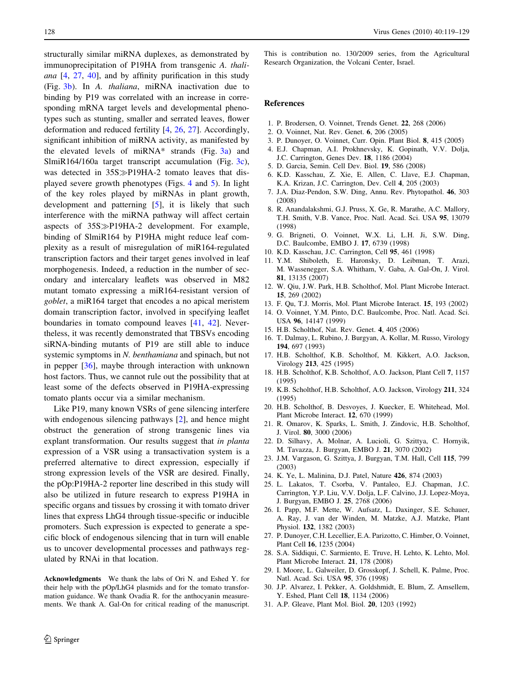<span id="page-9-0"></span>structurally similar miRNA duplexes, as demonstrated by immunoprecipitation of P19HA from transgenic A. thaliana [4, 27, [40](#page-10-0)], and by affinity purification in this study (Fig. [3b](#page-6-0)). In A. thaliana, miRNA inactivation due to binding by P19 was correlated with an increase in corresponding mRNA target levels and developmental phenotypes such as stunting, smaller and serrated leaves, flower deformation and reduced fertility [4, 26, 27]. Accordingly, significant inhibition of miRNA activity, as manifested by the elevated levels of  $miRNA*$  strands (Fig. [3a\)](#page-6-0) and SlmiR164/160a target transcript accumulation (Fig. [3c](#page-6-0)), was detected in  $35S\gg P19HA-2$  tomato leaves that displayed severe growth phenotypes (Figs. [4](#page-7-0) and [5](#page-8-0)). In light of the key roles played by miRNAs in plant growth, development and patterning [5], it is likely that such interference with the miRNA pathway will affect certain aspects of 35S $\gg$ P19HA-2 development. For example, binding of SlmiR164 by P19HA might reduce leaf complexity as a result of misregulation of miR164-regulated transcription factors and their target genes involved in leaf morphogenesis. Indeed, a reduction in the number of secondary and intercalary leaflets was observed in M82 mutant tomato expressing a miR164-resistant version of goblet, a miR164 target that encodes a no apical meristem domain transcription factor, involved in specifying leaflet boundaries in tomato compound leaves [[41,](#page-10-0) [42\]](#page-10-0). Nevertheless, it was recently demonstrated that TBSVs encoding siRNA-binding mutants of P19 are still able to induce systemic symptoms in N. benthamiana and spinach, but not in pepper [\[36](#page-10-0)], maybe through interaction with unknown host factors. Thus, we cannot rule out the possibility that at least some of the defects observed in P19HA-expressing tomato plants occur via a similar mechanism.

Like P19, many known VSRs of gene silencing interfere with endogenous silencing pathways [2], and hence might obstruct the generation of strong transgenic lines via explant transformation. Our results suggest that in planta expression of a VSR using a transactivation system is a preferred alternative to direct expression, especially if strong expression levels of the VSR are desired. Finally, the pOp:P19HA-2 reporter line described in this study will also be utilized in future research to express P19HA in specific organs and tissues by crossing it with tomato driver lines that express LhG4 through tissue-specific or inducible promoters. Such expression is expected to generate a specific block of endogenous silencing that in turn will enable us to uncover developmental processes and pathways regulated by RNAi in that location.

Acknowledgments We thank the labs of Ori N. and Eshed Y. for their help with the pOp/LhG4 plasmids and for the tomato transformation guidance. We thank Ovadia R. for the anthocyanin measurements. We thank A. Gal-On for critical reading of the manuscript.

This is contribution no. 130/2009 series, from the Agricultural Research Organization, the Volcani Center, Israel.

#### References

- 1. P. Brodersen, O. Voinnet, Trends Genet. 22, 268 (2006)
- 2. O. Voinnet, Nat. Rev. Genet. 6, 206 (2005)
- 3. P. Dunoyer, O. Voinnet, Curr. Opin. Plant Biol. 8, 415 (2005)
- 4. E.J. Chapman, A.I. Prokhnevsky, K. Gopinath, V.V. Dolja, J.C. Carrington, Genes Dev. 18, 1186 (2004)
- 5. D. Garcia, Semin. Cell Dev. Biol. 19, 586 (2008)
- 6. K.D. Kasschau, Z. Xie, E. Allen, C. Llave, E.J. Chapman, K.A. Krizan, J.C. Carrington, Dev. Cell 4, 205 (2003)
- 7. J.A. Diaz-Pendon, S.W. Ding, Annu. Rev. Phytopathol. 46, 303 (2008)
- 8. R. Anandalakshmi, G.J. Pruss, X. Ge, R. Marathe, A.C. Mallory, T.H. Smith, V.B. Vance, Proc. Natl. Acad. Sci. USA 95, 13079 (1998)
- 9. G. Brigneti, O. Voinnet, W.X. Li, L.H. Ji, S.W. Ding, D.C. Baulcombe, EMBO J. 17, 6739 (1998)
- 10. K.D. Kasschau, J.C. Carrington, Cell 95, 461 (1998)
- 11. Y.M. Shiboleth, E. Haronsky, D. Leibman, T. Arazi, M. Wassenegger, S.A. Whitham, V. Gaba, A. Gal-On, J. Virol. 81, 13135 (2007)
- 12. W. Qiu, J.W. Park, H.B. Scholthof, Mol. Plant Microbe Interact. 15, 269 (2002)
- 13. F. Qu, T.J. Morris, Mol. Plant Microbe Interact. 15, 193 (2002)
- 14. O. Voinnet, Y.M. Pinto, D.C. Baulcombe, Proc. Natl. Acad. Sci. USA 96, 14147 (1999)
- 15. H.B. Scholthof, Nat. Rev. Genet. 4, 405 (2006)
- 16. T. Dalmay, L. Rubino, J. Burgyan, A. Kollar, M. Russo, Virology 194, 697 (1993)
- 17. H.B. Scholthof, K.B. Scholthof, M. Kikkert, A.O. Jackson, Virology 213, 425 (1995)
- 18. H.B. Scholthof, K.B. Scholthof, A.O. Jackson, Plant Cell 7, 1157 (1995)
- 19. K.B. Scholthof, H.B. Scholthof, A.O. Jackson, Virology 211, 324 (1995)
- 20. H.B. Scholthof, B. Desvoyes, J. Kuecker, E. Whitehead, Mol. Plant Microbe Interact. 12, 670 (1999)
- 21. R. Omarov, K. Sparks, L. Smith, J. Zindovic, H.B. Scholthof, J. Virol. 80, 3000 (2006)
- 22. D. Silhavy, A. Molnar, A. Lucioli, G. Szittya, C. Hornyik, M. Tavazza, J. Burgyan, EMBO J. 21, 3070 (2002)
- 23. J.M. Vargason, G. Szittya, J. Burgyan, T.M. Hall, Cell 115, 799 (2003)
- 24. K. Ye, L. Malinina, D.J. Patel, Nature 426, 874 (2003)
- 25. L. Lakatos, T. Csorba, V. Pantaleo, E.J. Chapman, J.C. Carrington, Y.P. Liu, V.V. Dolja, L.F. Calvino, J.J. Lopez-Moya, J. Burgyan, EMBO J. 25, 2768 (2006)
- 26. I. Papp, M.F. Mette, W. Aufsatz, L. Daxinger, S.E. Schauer, A. Ray, J. van der Winden, M. Matzke, A.J. Matzke, Plant Physiol. 132, 1382 (2003)
- 27. P. Dunoyer, C.H. Lecellier, E.A. Parizotto, C. Himber, O. Voinnet, Plant Cell 16, 1235 (2004)
- 28. S.A. Siddiqui, C. Sarmiento, E. Truve, H. Lehto, K. Lehto, Mol. Plant Microbe Interact. 21, 178 (2008)
- 29. I. Moore, L. Galweiler, D. Grosskopf, J. Schell, K. Palme, Proc. Natl. Acad. Sci. USA 95, 376 (1998)
- 30. J.P. Alvarez, I. Pekker, A. Goldshmidt, E. Blum, Z. Amsellem, Y. Eshed, Plant Cell 18, 1134 (2006)
- 31. A.P. Gleave, Plant Mol. Biol. 20, 1203 (1992)